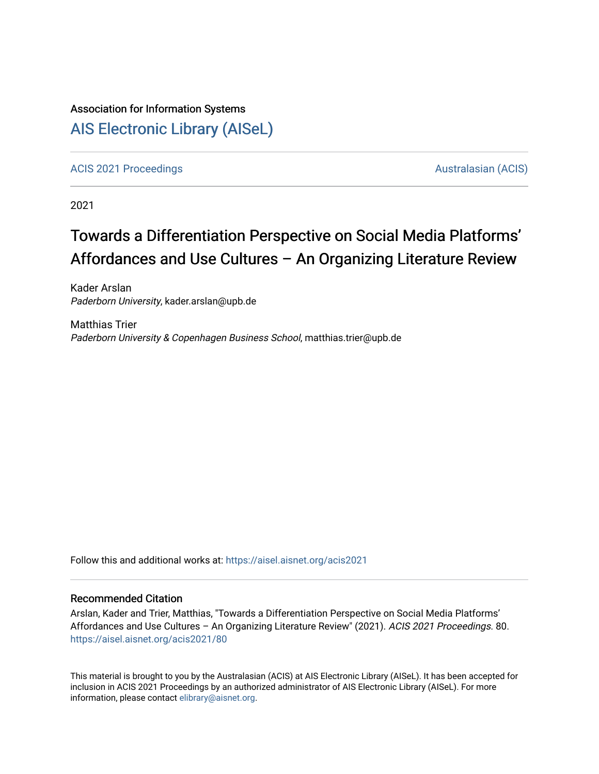## Association for Information Systems

## [AIS Electronic Library \(AISeL\)](https://aisel.aisnet.org/)

[ACIS 2021 Proceedings](https://aisel.aisnet.org/acis2021) [Australasian \(ACIS\)](https://aisel.aisnet.org/acis) Australasian (ACIS)

2021

# Towards a Differentiation Perspective on Social Media Platforms' Affordances and Use Cultures – An Organizing Literature Review

Kader Arslan Paderborn University, kader.arslan@upb.de

Matthias Trier Paderborn University & Copenhagen Business School, matthias.trier@upb.de

Follow this and additional works at: [https://aisel.aisnet.org/acis2021](https://aisel.aisnet.org/acis2021?utm_source=aisel.aisnet.org%2Facis2021%2F80&utm_medium=PDF&utm_campaign=PDFCoverPages) 

#### Recommended Citation

Arslan, Kader and Trier, Matthias, "Towards a Differentiation Perspective on Social Media Platforms' Affordances and Use Cultures – An Organizing Literature Review" (2021). ACIS 2021 Proceedings. 80. [https://aisel.aisnet.org/acis2021/80](https://aisel.aisnet.org/acis2021/80?utm_source=aisel.aisnet.org%2Facis2021%2F80&utm_medium=PDF&utm_campaign=PDFCoverPages)

This material is brought to you by the Australasian (ACIS) at AIS Electronic Library (AISeL). It has been accepted for inclusion in ACIS 2021 Proceedings by an authorized administrator of AIS Electronic Library (AISeL). For more information, please contact [elibrary@aisnet.org.](mailto:elibrary@aisnet.org%3E)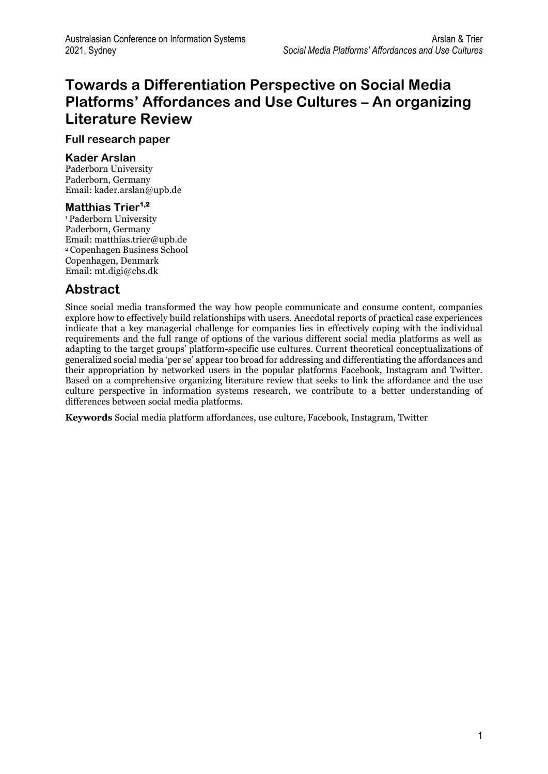## **Towards a Differentiation Perspective on Social Media Platforms' Affordances and Use Cultures – An organizing Literature Review**

#### **Full research paper**

#### **Kader Arslan**

Paderborn University Paderborn, Germany Email: kader.arslan@upb.de

#### **Matthias Trier1,2**

<sup>1</sup>Paderborn University Paderborn, Germany Email: matthias.trier@upb.de <sup>2</sup>Copenhagen Business School Copenhagen, Denmark Email: mt.digi@cbs.dk

### **Abstract**

Since social media transformed the way how people communicate and consume content, companies explore how to effectively build relationships with users. Anecdotal reports of practical case experiences indicate that a key managerial challenge for companies lies in effectively coping with the individual requirements and the full range of options of the various different social media platforms as well as adapting to the target groups' platform-specific use cultures. Current theoretical conceptualizations of generalized social media 'per se' appear too broad for addressing and differentiating the affordances and their appropriation by networked users in the popular platforms Facebook, Instagram and Twitter. Based on a comprehensive organizing literature review that seeks to link the affordance and the use culture perspective in information systems research, we contribute to a better understanding of differences between social media platforms.

**Keywords** Social media platform affordances, use culture, Facebook, Instagram, Twitter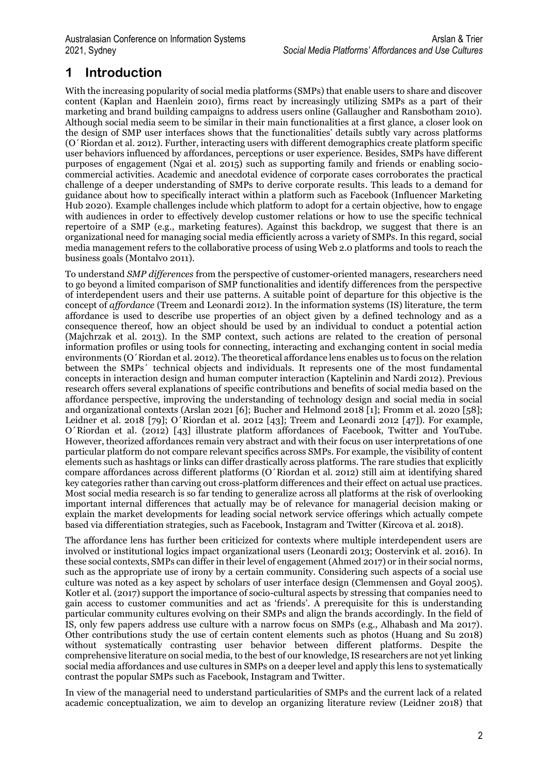### **1 Introduction**

With the increasing popularity of social media platforms (SMPs) that enable users to share and discover content (Kaplan and Haenlein 2010), firms react by increasingly utilizing SMPs as a part of their marketing and brand building campaigns to address users online (Gallaugher and Ransbotham 2010). Although social media seem to be similar in their main functionalities at a first glance, a closer look on the design of SMP user interfaces shows that the functionalities' details subtly vary across platforms (O´Riordan et al. 2012). Further, interacting users with different demographics create platform specific user behaviors influenced by affordances, perceptions or user experience. Besides, SMPs have different purposes of engagement (Ngai et al. 2015) such as supporting family and friends or enabling sociocommercial activities. Academic and anecdotal evidence of corporate cases corroborates the practical challenge of a deeper understanding of SMPs to derive corporate results. This leads to a demand for guidance about how to specifically interact within a platform such as Facebook (Influencer Marketing Hub 2020). Example challenges include which platform to adopt for a certain objective, how to engage with audiences in order to effectively develop customer relations or how to use the specific technical repertoire of a SMP (e.g., marketing features). Against this backdrop, we suggest that there is an organizational need for managing social media efficiently across a variety of SMPs. In this regard, social media management refers to the collaborative process of using Web 2.0 platforms and tools to reach the business goals (Montalvo 2011).

To understand *SMP differences* from the perspective of customer-oriented managers, researchers need to go beyond a limited comparison of SMP functionalities and identify differences from the perspective of interdependent users and their use patterns. A suitable point of departure for this objective is the concept of *affordance* (Treem and Leonardi 2012). In the information systems (IS) literature, the term affordance is used to describe use properties of an object given by a defined technology and as a consequence thereof, how an object should be used by an individual to conduct a potential action (Majchrzak et al. 2013). In the SMP context, such actions are related to the creation of personal information profiles or using tools for connecting, interacting and exchanging content in social media environments (O´Riordan et al. 2012). The theoretical affordance lens enables us to focus on the relation between the SMPs´ technical objects and individuals. It represents one of the most fundamental concepts in interaction design and human computer interaction (Kaptelinin and Nardi 2012). Previous research offers several explanations of specific contributions and benefits of social media based on the affordance perspective, improving the understanding of technology design and social media in social and organizational contexts (Arslan 2021 [6]; Bucher and Helmond 2018 [1]; Fromm et al. 2020 [58]; Leidner et al. 2018 [79]; O´Riordan et al. 2012 [43]; Treem and Leonardi 2012 [47]). For example, O´Riordan et al. (2012) [43] illustrate platform affordances of Facebook, Twitter and YouTube. However, theorized affordances remain very abstract and with their focus on user interpretations of one particular platform do not compare relevant specifics across SMPs. For example, the visibility of content elements such as hashtags or links can differ drastically across platforms. The rare studies that explicitly compare affordances across different platforms (O´Riordan et al. 2012) still aim at identifying shared key categories rather than carving out cross-platform differences and their effect on actual use practices. Most social media research is so far tending to generalize across all platforms at the risk of overlooking important internal differences that actually may be of relevance for managerial decision making or explain the market developments for leading social network service offerings which actually compete based via differentiation strategies, such as Facebook, Instagram and Twitter (Kircova et al. 2018).

The affordance lens has further been criticized for contexts where multiple interdependent users are involved or institutional logics impact organizational users (Leonardi 2013; Oostervink et al. 2016). In these social contexts, SMPs can differ in their level of engagement (Ahmed 2017) or in their social norms, such as the appropriate use of irony by a certain community. Considering such aspects of a social use culture was noted as a key aspect by scholars of user interface design (Clemmensen and Goyal 2005). Kotler et al. (2017) support the importance of socio-cultural aspects by stressing that companies need to gain access to customer communities and act as 'friends'. A prerequisite for this is understanding particular community cultures evolving on their SMPs and align the brands accordingly. In the field of IS, only few papers address use culture with a narrow focus on SMPs (e.g., Alhabash and Ma 2017). Other contributions study the use of certain content elements such as photos (Huang and Su 2018) without systematically contrasting user behavior between different platforms. Despite the comprehensive literature on social media, to the best of our knowledge, IS researchers are not yet linking social media affordances and use cultures in SMPs on a deeper level and apply this lens to systematically contrast the popular SMPs such as Facebook, Instagram and Twitter.

In view of the managerial need to understand particularities of SMPs and the current lack of a related academic conceptualization, we aim to develop an organizing literature review (Leidner 2018) that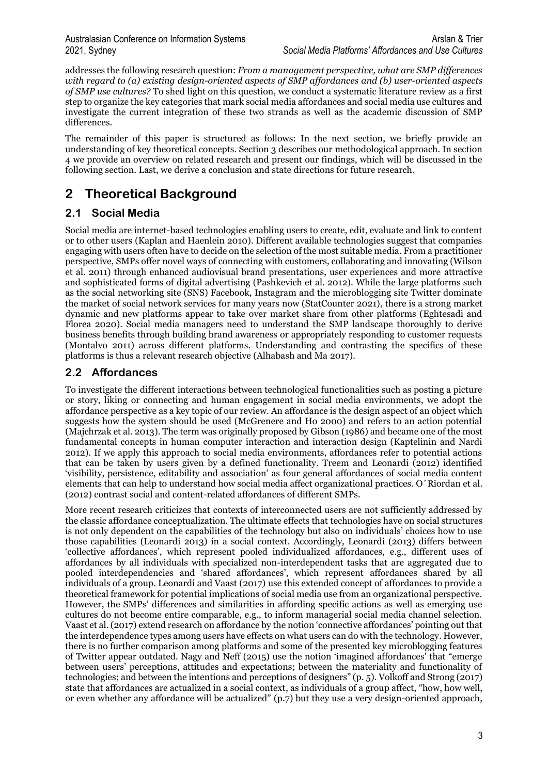addresses the following research question: *From a management perspective, what are SMP differences with regard to (a) existing design-oriented aspects of SMP affordances and (b) user-oriented aspects of SMP use cultures?* To shed light on this question, we conduct a systematic literature review as a first step to organize the key categories that mark social media affordances and social media use cultures and investigate the current integration of these two strands as well as the academic discussion of SMP differences.

The remainder of this paper is structured as follows: In the next section, we briefly provide an understanding of key theoretical concepts. Section 3 describes our methodological approach. In section 4 we provide an overview on related research and present our findings, which will be discussed in the following section. Last, we derive a conclusion and state directions for future research.

### **2 Theoretical Background**

### **2.1 Social Media**

Social media are internet-based technologies enabling users to create, edit, evaluate and link to content or to other users (Kaplan and Haenlein 2010). Different available technologies suggest that companies engaging with users often have to decide on the selection of the most suitable media. From a practitioner perspective, SMPs offer novel ways of connecting with customers, collaborating and innovating (Wilson et al. 2011) through enhanced audiovisual brand presentations, user experiences and more attractive and sophisticated forms of digital advertising (Pashkevich et al. 2012). While the large platforms such as the social networking site (SNS) Facebook, Instagram and the microblogging site Twitter dominate the market of social network services for many years now (StatCounter 2021), there is a strong market dynamic and new platforms appear to take over market share from other platforms (Eghtesadi and Florea 2020). Social media managers need to understand the SMP landscape thoroughly to derive business benefits through building brand awareness or appropriately responding to customer requests (Montalvo 2011) across different platforms. Understanding and contrasting the specifics of these platforms is thus a relevant research objective (Alhabash and Ma 2017).

### **2.2 Affordances**

To investigate the different interactions between technological functionalities such as posting a picture or story, liking or connecting and human engagement in social media environments, we adopt the affordance perspective as a key topic of our review. An affordance is the design aspect of an object which suggests how the system should be used (McGrenere and Ho 2000) and refers to an action potential (Majchrzak et al. 2013). The term was originally proposed by Gibson (1986) and became one of the most fundamental concepts in human computer interaction and interaction design (Kaptelinin and Nardi 2012). If we apply this approach to social media environments, affordances refer to potential actions that can be taken by users given by a defined functionality. Treem and Leonardi (2012) identified 'visibility, persistence, editability and association' as four general affordances of social media content elements that can help to understand how social media affect organizational practices. O´Riordan et al. (2012) contrast social and content-related affordances of different SMPs.

More recent research criticizes that contexts of interconnected users are not sufficiently addressed by the classic affordance conceptualization. The ultimate effects that technologies have on social structures is not only dependent on the capabilities of the technology but also on individuals' choices how to use those capabilities (Leonardi 2013) in a social context. Accordingly, Leonardi (2013) differs between 'collective affordances', which represent pooled individualized affordances, e.g., different uses of affordances by all individuals with specialized non-interdependent tasks that are aggregated due to pooled interdependencies and 'shared affordances', which represent affordances shared by all individuals of a group. Leonardi and Vaast (2017) use this extended concept of affordances to provide a theoretical framework for potential implications of social media use from an organizational perspective. However, the SMPs' differences and similarities in affording specific actions as well as emerging use cultures do not become entire comparable, e.g., to inform managerial social media channel selection. Vaast et al. (2017) extend research on affordance by the notion 'connective affordances' pointing out that the interdependence types among users have effects on what users can do with the technology. However, there is no further comparison among platforms and some of the presented key microblogging features of Twitter appear outdated. Nagy and Neff (2015) use the notion 'imagined affordances' that "emerge between users' perceptions, attitudes and expectations; between the materiality and functionality of technologies; and between the intentions and perceptions of designers" (p. 5). Volkoff and Strong (2017) state that affordances are actualized in a social context, as individuals of a group affect, "how, how well, or even whether any affordance will be actualized" (p.7) but they use a very design-oriented approach,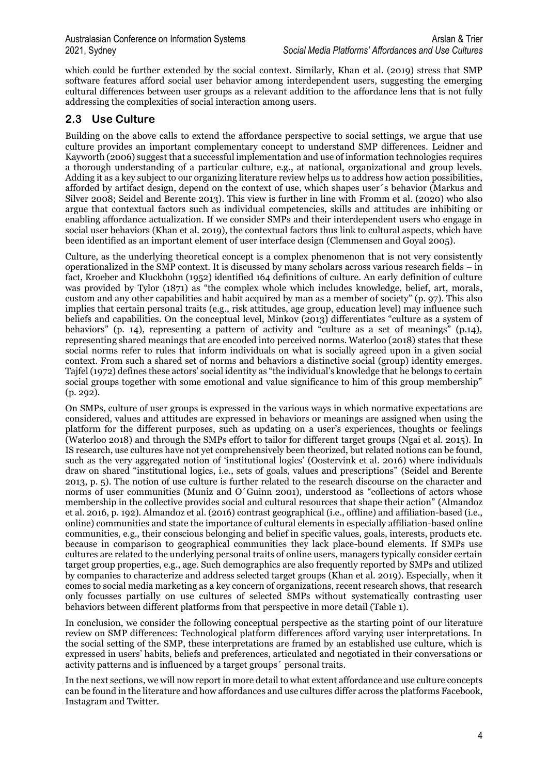which could be further extended by the social context. Similarly, Khan et al. (2019) stress that SMP software features afford social user behavior among interdependent users, suggesting the emerging cultural differences between user groups as a relevant addition to the affordance lens that is not fully addressing the complexities of social interaction among users.

#### **2.3 Use Culture**

Building on the above calls to extend the affordance perspective to social settings, we argue that use culture provides an important complementary concept to understand SMP differences. Leidner and Kayworth (2006) suggest that a successful implementation and use of information technologies requires a thorough understanding of a particular culture, e.g., at national, organizational and group levels. Adding it as a key subject to our organizing literature review helps us to address how action possibilities, afforded by artifact design, depend on the context of use, which shapes user´s behavior (Markus and Silver 2008; Seidel and Berente 2013). This view is further in line with Fromm et al. (2020) who also argue that contextual factors such as individual competencies, skills and attitudes are inhibiting or enabling affordance actualization. If we consider SMPs and their interdependent users who engage in social user behaviors (Khan et al. 2019), the contextual factors thus link to cultural aspects, which have been identified as an important element of user interface design (Clemmensen and Goyal 2005).

Culture, as the underlying theoretical concept is a complex phenomenon that is not very consistently operationalized in the SMP context. It is discussed by many scholars across various research fields – in fact, Kroeber and Kluckhohn (1952) identified 164 definitions of culture. An early definition of culture was provided by Tylor (1871) as "the complex whole which includes knowledge, belief, art, morals, custom and any other capabilities and habit acquired by man as a member of society" (p. 97). This also implies that certain personal traits (e.g., risk attitudes, age group, education level) may influence such beliefs and capabilities. On the conceptual level, Minkov (2013) differentiates "culture as a system of behaviors" (p. 14), representing a pattern of activity and "culture as a set of meanings" (p.14), representing shared meanings that are encoded into perceived norms. Waterloo (2018) states that these social norms refer to rules that inform individuals on what is socially agreed upon in a given social context. From such a shared set of norms and behaviors a distinctive social (group) identity emerges. Tajfel (1972) defines these actors' social identity as "the individual's knowledge that he belongs to certain social groups together with some emotional and value significance to him of this group membership" (p. 292).

On SMPs, culture of user groups is expressed in the various ways in which normative expectations are considered, values and attitudes are expressed in behaviors or meanings are assigned when using the platform for the different purposes, such as updating on a user's experiences, thoughts or feelings (Waterloo 2018) and through the SMPs effort to tailor for different target groups (Ngai et al. 2015). In IS research, use cultures have not yet comprehensively been theorized, but related notions can be found, such as the very aggregated notion of 'institutional logics' (Oostervink et al. 2016) where individuals draw on shared "institutional logics, i.e., sets of goals, values and prescriptions" (Seidel and Berente 2013, p. 5). The notion of use culture is further related to the research discourse on the character and norms of user communities (Muniz and O´Guinn 2001), understood as "collections of actors whose membership in the collective provides social and cultural resources that shape their action" (Almandoz et al. 2016, p. 192). Almandoz et al. (2016) contrast geographical (i.e., offline) and affiliation-based (i.e., online) communities and state the importance of cultural elements in especially affiliation-based online communities, e.g., their conscious belonging and belief in specific values, goals, interests, products etc. because in comparison to geographical communities they lack place-bound elements. If SMPs use cultures are related to the underlying personal traits of online users, managers typically consider certain target group properties, e.g., age. Such demographics are also frequently reported by SMPs and utilized by companies to characterize and address selected target groups (Khan et al. 2019). Especially, when it comes to social media marketing as a key concern of organizations, recent research shows, that research only focusses partially on use cultures of selected SMPs without systematically contrasting user behaviors between different platforms from that perspective in more detail (Table 1).

In conclusion, we consider the following conceptual perspective as the starting point of our literature review on SMP differences: Technological platform differences afford varying user interpretations. In the social setting of the SMP, these interpretations are framed by an established use culture, which is expressed in users' habits, beliefs and preferences, articulated and negotiated in their conversations or activity patterns and is influenced by a target groups´ personal traits.

In the next sections, we will now report in more detail to what extent affordance and use culture concepts can be found in the literature and how affordances and use cultures differ across the platforms Facebook, Instagram and Twitter.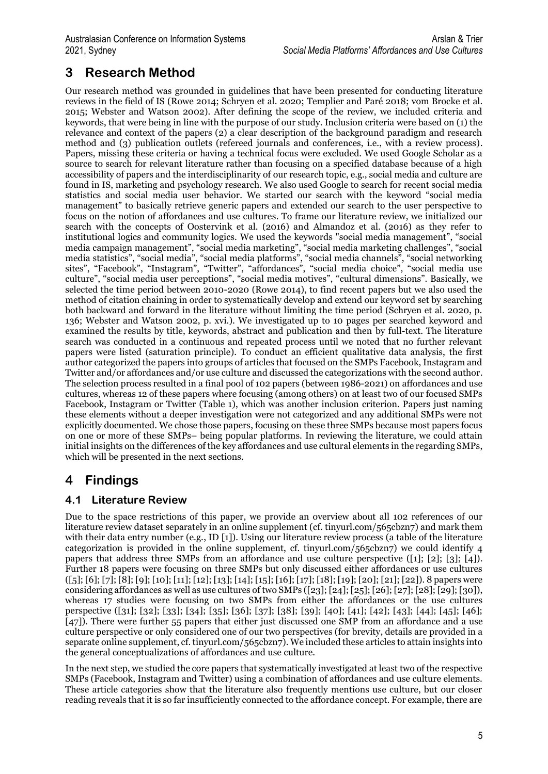### **3 Research Method**

Our research method was grounded in guidelines that have been presented for conducting literature reviews in the field of IS (Rowe 2014; Schryen et al. 2020; Templier and Paré 2018; vom Brocke et al. 2015; Webster and Watson 2002). After defining the scope of the review, we included criteria and keywords, that were being in line with the purpose of our study. Inclusion criteria were based on (1) the relevance and context of the papers (2) a clear description of the background paradigm and research method and (3) publication outlets (refereed journals and conferences, i.e., with a review process). Papers, missing these criteria or having a technical focus were excluded. We used Google Scholar as a source to search for relevant literature rather than focusing on a specified database because of a high accessibility of papers and the interdisciplinarity of our research topic, e.g., social media and culture are found in IS, marketing and psychology research. We also used Google to search for recent social media statistics and social media user behavior. We started our search with the keyword "social media management" to basically retrieve generic papers and extended our search to the user perspective to focus on the notion of affordances and use cultures. To frame our literature review, we initialized our search with the concepts of Oostervink et al. (2016) and Almandoz et al. (2016) as they refer to institutional logics and community logics. We used the keywords "social media management", "social media campaign management", "social media marketing", "social media marketing challenges", "social media statistics", "social media", "social media platforms", "social media channels", "social networking sites", "Facebook", "Instagram", "Twitter", "affordances", "social media choice", "social media use culture", "social media user perceptions", "social media motives", "cultural dimensions". Basically, we selected the time period between 2010-2020 (Rowe 2014), to find recent papers but we also used the method of citation chaining in order to systematically develop and extend our keyword set by searching both backward and forward in the literature without limiting the time period (Schryen et al. 2020, p. 136; Webster and Watson 2002, p. xvi.). We investigated up to 10 pages per searched keyword and examined the results by title, keywords, abstract and publication and then by full-text. The literature search was conducted in a continuous and repeated process until we noted that no further relevant papers were listed (saturation principle). To conduct an efficient qualitative data analysis, the first author categorized the papers into groups of articles that focused on the SMPs Facebook, Instagram and Twitter and/or affordances and/or use culture and discussed the categorizations with the second author. The selection process resulted in a final pool of 102 papers (between 1986-2021) on affordances and use cultures, whereas 12 of these papers where focusing (among others) on at least two of our focused SMPs Facebook, Instagram or Twitter (Table 1), which was another inclusion criterion. Papers just naming these elements without a deeper investigation were not categorized and any additional SMPs were not explicitly documented. We chose those papers, focusing on these three SMPs because most papers focus on one or more of these SMPs– being popular platforms. In reviewing the literature, we could attain initial insights on the differences of the key affordances and use cultural elements in the regarding SMPs, which will be presented in the next sections.

### **4 Findings**

#### **4.1 Literature Review**

Due to the space restrictions of this paper, we provide an overview about all 102 references of our literature review dataset separately in an online supplement (cf. tinyurl.com/565cbzn7) and mark them with their data entry number (e.g., ID [1]). Using our literature review process (a table of the literature categorization is provided in the online supplement, cf. tinyurl.com/ $\overline{565}$ cbzn7) we could identify 4 papers that address three SMPs from an affordance and use culture perspective ([1]; [2]; [3]; [4]). Further 18 papers were focusing on three SMPs but only discussed either affordances or use cultures  $([5]; [6]; [7]; [8]; [9]; [10]; [11]; [12]; [13]; [14]; [15]; [16]; [17]; [18]; [20]; [21]; [22])$ . 8 papers were considering affordances as well as use cultures of two SMPs ([23]; [24]; [25]; [26]; [26]; [27]; [28]; [29]; [30]), whereas 17 studies were focusing on two SMPs from either the affordances or the use cultures perspective ([31]; [32]; [33]; [34]; [35]; [36]; [37]; [38]; [39]; [40]; [41]; [42]; [43]; [44]; [45]; [46]; [47]). There were further 55 papers that either just discussed one SMP from an affordance and a use culture perspective or only considered one of our two perspectives (for brevity, details are provided in a separate online supplement, cf. tinyurl.com/565cbzn7). We included these articles to attain insights into the general conceptualizations of affordances and use culture.

In the next step, we studied the core papers that systematically investigated at least two of the respective SMPs (Facebook, Instagram and Twitter) using a combination of affordances and use culture elements. These article categories show that the literature also frequently mentions use culture, but our closer reading reveals that it is so far insufficiently connected to the affordance concept. For example, there are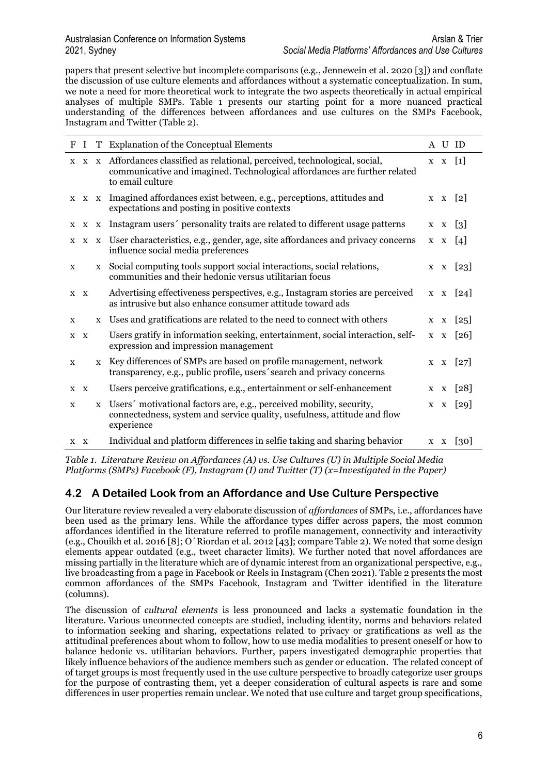papers that present selective but incomplete comparisons (e.g., Jennewein et al. 2020 [3]) and conflate the discussion of use culture elements and affordances without a systematic conceptualization. In sum, we note a need for more theoretical work to integrate the two aspects theoretically in actual empirical analyses of multiple SMPs. Table 1 presents our starting point for a more nuanced practical understanding of the differences between affordances and use cultures on the SMPs Facebook, Instagram and Twitter (Table 2).

| F   | $\mathbf I$ |              | T Explanation of the Conceptual Elements                                                                                                                                       |         | A U ID             |
|-----|-------------|--------------|--------------------------------------------------------------------------------------------------------------------------------------------------------------------------------|---------|--------------------|
|     |             |              | x x x Affordances classified as relational, perceived, technological, social,<br>communicative and imagined. Technological affordances are further related<br>to email culture |         | $X \ X [1]$        |
|     |             |              | x x x Imagined affordances exist between, e.g., perceptions, attitudes and<br>expectations and posting in positive contexts                                                    |         | $X \ X [2]$        |
|     |             |              | x x x Instagram users' personality traits are related to different usage patterns                                                                                              |         | $x \times [3]$     |
|     |             |              | x x x User characteristics, e.g., gender, age, site affordances and privacy concerns<br>influence social media preferences                                                     |         | $x \times [4]$     |
| X   |             | $\mathbf{X}$ | Social computing tools support social interactions, social relations,<br>communities and their hedonic versus utilitarian focus                                                |         | x x [23]           |
|     | X X         |              | Advertising effectiveness perspectives, e.g., Instagram stories are perceived<br>as intrusive but also enhance consumer attitude toward ads                                    |         | $X \ X [24]$       |
| X   |             |              | x Uses and gratifications are related to the need to connect with others                                                                                                       |         | $x \times [25]$    |
|     | $X$ $X$     |              | Users gratify in information seeking, entertainment, social interaction, self-<br>expression and impression management                                                         |         | $X \ X [26]$       |
| X   |             | X            | Key differences of SMPs are based on profile management, network<br>transparency, e.g., public profile, users' search and privacy concerns                                     |         | x x [27]           |
|     | $X$ $X$     |              | Users perceive gratifications, e.g., entertainment or self-enhancement                                                                                                         | $X \tX$ | $\lceil 28 \rceil$ |
| X   |             |              | x Users' motivational factors are, e.g., perceived mobility, security,<br>connectedness, system and service quality, usefulness, attitude and flow<br>experience               |         | x x [29]           |
| X X |             |              | Individual and platform differences in selfie taking and sharing behavior                                                                                                      |         | x x [30]           |

*Table 1. Literature Review on Affordances (A) vs. Use Cultures (U) in Multiple Social Media Platforms (SMPs) Facebook (F), Instagram (I) and Twitter (T) (x=Investigated in the Paper)*

#### **4.2 A Detailed Look from an Affordance and Use Culture Perspective**

Our literature review revealed a very elaborate discussion of *affordances* of SMPs, i.e., affordances have been used as the primary lens. While the affordance types differ across papers, the most common affordances identified in the literature referred to profile management, connectivity and interactivity (e.g., Chouikh et al. 2016 [8]; O´Riordan et al. 2012 [43]; compare Table 2). We noted that some design elements appear outdated (e.g., tweet character limits). We further noted that novel affordances are missing partially in the literature which are of dynamic interest from an organizational perspective, e.g., live broadcasting from a page in Facebook or Reels in Instagram (Chen 2021). Table 2 presents the most common affordances of the SMPs Facebook, Instagram and Twitter identified in the literature (columns).

The discussion of *cultural elements* is less pronounced and lacks a systematic foundation in the literature. Various unconnected concepts are studied, including identity, norms and behaviors related to information seeking and sharing, expectations related to privacy or gratifications as well as the attitudinal preferences about whom to follow, how to use media modalities to present oneself or how to balance hedonic vs. utilitarian behaviors. Further, papers investigated demographic properties that likely influence behaviors of the audience members such as gender or education. The related concept of of target groups is most frequently used in the use culture perspective to broadly categorize user groups for the purpose of contrasting them, yet a deeper consideration of cultural aspects is rare and some differences in user properties remain unclear. We noted that use culture and target group specifications,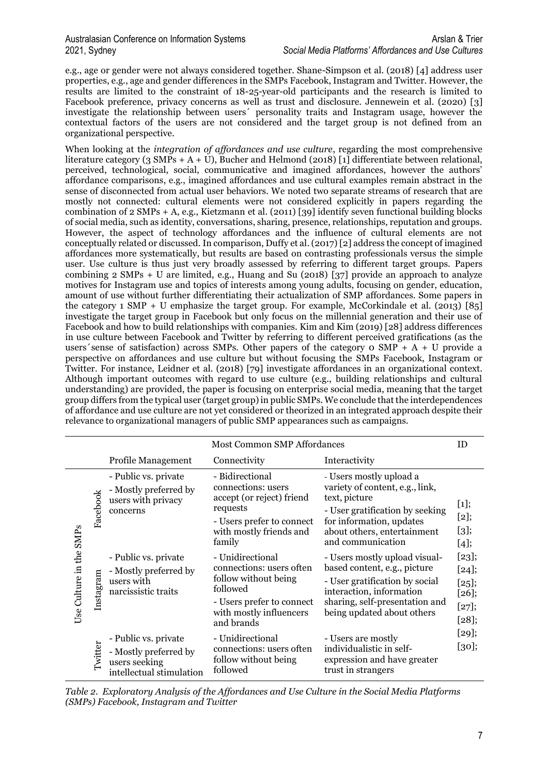e.g., age or gender were not always considered together. Shane-Simpson et al. (2018) [4] address user properties, e.g., age and gender differences in the SMPs Facebook, Instagram and Twitter. However, the results are limited to the constraint of 18-25-year-old participants and the research is limited to Facebook preference, privacy concerns as well as trust and disclosure. Jennewein et al. (2020) [3] investigate the relationship between users´ personality traits and Instagram usage, however the contextual factors of the users are not considered and the target group is not defined from an organizational perspective.

When looking at the *integration of affordances and use culture*, regarding the most comprehensive literature category (3 SMPs + A + U), Bucher and Helmond (2018) [1] differentiate between relational, perceived, technological, social, communicative and imagined affordances, however the authors' affordance comparisons, e.g., imagined affordances and use cultural examples remain abstract in the sense of disconnected from actual user behaviors. We noted two separate streams of research that are mostly not connected: cultural elements were not considered explicitly in papers regarding the combination of 2 SMPs + A, e.g., Kietzmann et al. (2011) [39] identify seven functional building blocks of social media, such as identity, conversations, sharing, presence, relationships, reputation and groups. However, the aspect of technology affordances and the influence of cultural elements are not conceptually related or discussed. In comparison, Duffy et al. (2017) [2] address the concept of imagined affordances more systematically, but results are based on contrasting professionals versus the simple user. Use culture is thus just very broadly assessed by referring to different target groups. Papers combining 2 SMPs + U are limited, e.g., Huang and Su (2018) [37] provide an approach to analyze motives for Instagram use and topics of interests among young adults, focusing on gender, education, amount of use without further differentiating their actualization of SMP affordances. Some papers in the category 1 SMP + U emphasize the target group. For example, McCorkindale et al. (2013) [85] investigate the target group in Facebook but only focus on the millennial generation and their use of Facebook and how to build relationships with companies. Kim and Kim (2019) [28] address differences in use culture between Facebook and Twitter by referring to different perceived gratifications (as the users' sense of satisfaction) across SMPs. Other papers of the category o  $\text{SMP} + A + U$  provide a perspective on affordances and use culture but without focusing the SMPs Facebook, Instagram or Twitter. For instance, Leidner et al. (2018) [79] investigate affordances in an organizational context. Although important outcomes with regard to use culture (e.g., building relationships and cultural understanding) are provided, the paper is focusing on enterprise social media, meaning that the target group differs from the typical user (target group)in public SMPs. We conclude that the interdependences of affordance and use culture are not yet considered or theorized in an integrated approach despite their relevance to organizational managers of public SMP appearances such as campaigns.

|                         |           |                                                                                            | Most Common SMP Affordances                                                                                                                            |                                                                                                                                                                                                |                                                          |
|-------------------------|-----------|--------------------------------------------------------------------------------------------|--------------------------------------------------------------------------------------------------------------------------------------------------------|------------------------------------------------------------------------------------------------------------------------------------------------------------------------------------------------|----------------------------------------------------------|
|                         |           | Profile Management                                                                         | Connectivity                                                                                                                                           | Interactivity                                                                                                                                                                                  |                                                          |
| Use Culture in the SMPs | Facebook  | - Public vs. private<br>- Mostly preferred by<br>users with privacy<br>concerns            | - Bidirectional<br>connections: users<br>accept (or reject) friend<br>requests<br>- Users prefer to connect<br>with mostly friends and<br>family       | - Users mostly upload a<br>variety of content, e.g., link,<br>text, picture<br>- User gratification by seeking<br>for information, updates<br>about others, entertainment<br>and communication | [1]<br>$[2];$<br>[3]<br>[4]                              |
|                         | Instagram | - Public vs. private<br>- Mostly preferred by<br>users with<br>narcissistic traits         | - Unidirectional<br>connections: users often<br>follow without being<br>followed<br>- Users prefer to connect<br>with mostly influencers<br>and brands | - Users mostly upload visual-<br>based content, e.g., picture<br>- User gratification by social<br>interaction, information<br>sharing, self-presentation and<br>being updated about others    | [23];<br>$[24]$ ;<br>$[25]$<br>[26]<br>[27];<br>$[28]$ ; |
|                         | Twitter   | - Public vs. private<br>- Mostly preferred by<br>users seeking<br>intellectual stimulation | - Unidirectional<br>connections: users often<br>follow without being<br>followed                                                                       | - Users are mostly<br>individualistic in self-<br>expression and have greater<br>trust in strangers                                                                                            | $[29]$ ;<br>[30];                                        |

*Table 2. Exploratory Analysis of the Affordances and Use Culture in the Social Media Platforms (SMPs) Facebook, Instagram and Twitter*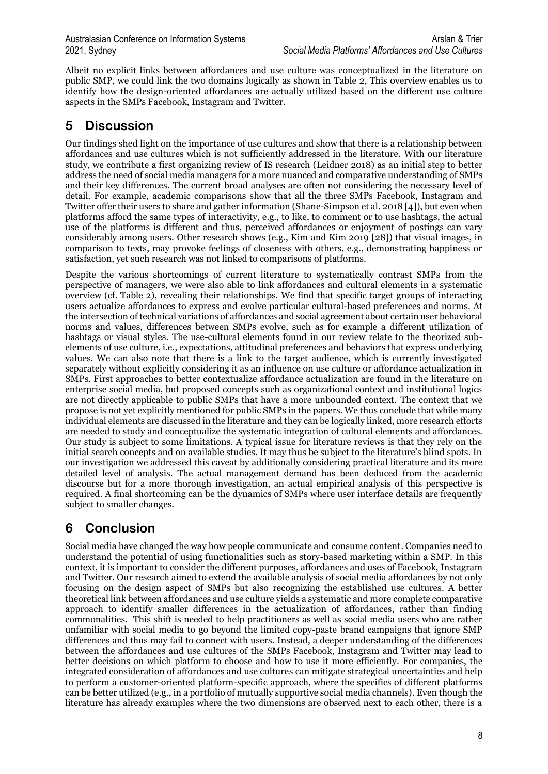Albeit no explicit links between affordances and use culture was conceptualized in the literature on public SMP, we could link the two domains logically as shown in Table 2, This overview enables us to identify how the design-oriented affordances are actually utilized based on the different use culture aspects in the SMPs Facebook, Instagram and Twitter.

### **5 Discussion**

Our findings shed light on the importance of use cultures and show that there is a relationship between affordances and use cultures which is not sufficiently addressed in the literature. With our literature study, we contribute a first organizing review of IS research (Leidner 2018) as an initial step to better address the need of social media managers for a more nuanced and comparative understanding of SMPs and their key differences. The current broad analyses are often not considering the necessary level of detail. For example, academic comparisons show that all the three SMPs Facebook, Instagram and Twitter offer their users to share and gather information (Shane-Simpson et al. 2018 [4]), but even when platforms afford the same types of interactivity, e.g., to like, to comment or to use hashtags, the actual use of the platforms is different and thus, perceived affordances or enjoyment of postings can vary considerably among users. Other research shows (e.g., Kim and Kim 2019 [28]) that visual images, in comparison to texts, may provoke feelings of closeness with others, e.g., demonstrating happiness or satisfaction, yet such research was not linked to comparisons of platforms.

Despite the various shortcomings of current literature to systematically contrast SMPs from the perspective of managers, we were also able to link affordances and cultural elements in a systematic overview (cf. Table 2), revealing their relationships. We find that specific target groups of interacting users actualize affordances to express and evolve particular cultural-based preferences and norms. At the intersection of technical variations of affordances and social agreement about certain user behavioral norms and values, differences between SMPs evolve, such as for example a different utilization of hashtags or visual styles. The use-cultural elements found in our review relate to the theorized subelements of use culture, i.e., expectations, attitudinal preferences and behaviors that express underlying values. We can also note that there is a link to the target audience, which is currently investigated separately without explicitly considering it as an influence on use culture or affordance actualization in SMPs. First approaches to better contextualize affordance actualization are found in the literature on enterprise social media, but proposed concepts such as organizational context and institutional logics are not directly applicable to public SMPs that have a more unbounded context. The context that we propose is not yet explicitly mentioned for public SMPs in the papers. We thus conclude that while many individual elements are discussed in the literature and they can be logically linked, more research efforts are needed to study and conceptualize the systematic integration of cultural elements and affordances. Our study is subject to some limitations. A typical issue for literature reviews is that they rely on the initial search concepts and on available studies. It may thus be subject to the literature's blind spots. In our investigation we addressed this caveat by additionally considering practical literature and its more detailed level of analysis. The actual management demand has been deduced from the academic discourse but for a more thorough investigation, an actual empirical analysis of this perspective is required. A final shortcoming can be the dynamics of SMPs where user interface details are frequently subject to smaller changes.

## **6 Conclusion**

Social media have changed the way how people communicate and consume content. Companies need to understand the potential of using functionalities such as story-based marketing within a SMP. In this context, it is important to consider the different purposes, affordances and uses of Facebook, Instagram and Twitter. Our research aimed to extend the available analysis of social media affordances by not only focusing on the design aspect of SMPs but also recognizing the established use cultures. A better theoretical link between affordances and use culture yields a systematic and more complete comparative approach to identify smaller differences in the actualization of affordances, rather than finding commonalities. This shift is needed to help practitioners as well as social media users who are rather unfamiliar with social media to go beyond the limited copy-paste brand campaigns that ignore SMP differences and thus may fail to connect with users. Instead, a deeper understanding of the differences between the affordances and use cultures of the SMPs Facebook, Instagram and Twitter may lead to better decisions on which platform to choose and how to use it more efficiently. For companies, the integrated consideration of affordances and use cultures can mitigate strategical uncertainties and help to perform a customer-oriented platform-specific approach, where the specifics of different platforms can be better utilized (e.g., in a portfolio of mutually supportive social media channels). Even though the literature has already examples where the two dimensions are observed next to each other, there is a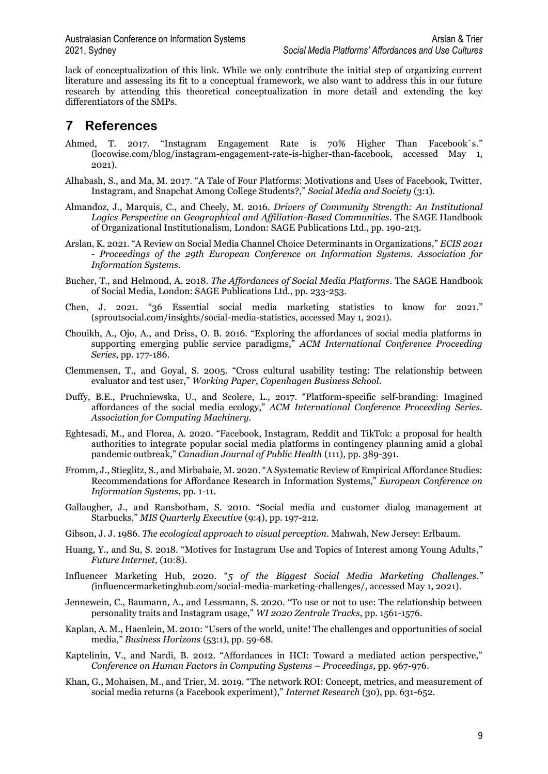lack of conceptualization of this link. While we only contribute the initial step of organizing current literature and assessing its fit to a conceptual framework, we also want to address this in our future research by attending this theoretical conceptualization in more detail and extending the key differentiators of the SMPs.

### **7 References**

- Ahmed, T. 2017. "Instagram Engagement Rate is 70% Higher Than Facebook´s." (locowise.com/blog/instagram-engagement-rate-is-higher-than-facebook, accessed May 1, 2021).
- Alhabash, S., and Ma, M. 2017. "A Tale of Four Platforms: Motivations and Uses of Facebook, Twitter, Instagram, and Snapchat Among College Students?," *Social Media and Society* (3:1).
- Almandoz, J., Marquis, C., and Cheely, M. 2016. *Drivers of Community Strength: An Institutional Logics Perspective on Geographical and Affiliation-Based Communities.* The SAGE Handbook of Organizational Institutionalism, London: SAGE Publications Ltd., pp. 190-213.
- Arslan, K. 2021. "A Review on Social Media Channel Choice Determinants in Organizations," *ECIS 2021 - Proceedings of the 29th European Conference on Information Systems. Association for Information Systems.*
- Bucher, T., and Helmond, A. 2018. *The Affordances of Social Media Platforms*. The SAGE Handbook of Social Media, London: SAGE Publications Ltd., pp. 233-253.
- Chen, J. 2021. "36 Essential social media marketing statistics to know for 2021." (sproutsocial.com/insights/social-media-statistics, accessed May 1, 2021).
- Chouikh, A., Ojo, A., and Driss, O. B. 2016. "Exploring the affordances of social media platforms in supporting emerging public service paradigms," *ACM International Conference Proceeding Series*, pp. 177-186.
- Clemmensen, T., and Goyal, S. 2005. "Cross cultural usability testing: The relationship between evaluator and test user," *Working Paper, Copenhagen Business School*.
- Duffy, B.E., Pruchniewska, U., and Scolere, L., 2017. "Platform-specific self-branding: Imagined affordances of the social media ecology," *ACM International Conference Proceeding Series. Association for Computing Machinery.*
- Eghtesadi, M., and Florea, A. 2020. "Facebook, Instagram, Reddit and TikTok: a proposal for health authorities to integrate popular social media platforms in contingency planning amid a global pandemic outbreak," *Canadian Journal of Public Health* (111), pp. 389-391.
- Fromm, J., Stieglitz, S., and Mirbabaie, M. 2020. "A Systematic Review of Empirical Affordance Studies: Recommendations for Affordance Research in Information Systems," *European Conference on Information Systems*, pp. 1-11.
- Gallaugher, J., and Ransbotham, S. 2010. "Social media and customer dialog management at Starbucks," *MIS Quarterly Executive* (9:4), pp. 197-212.
- Gibson, J. J. 1986. *The ecological approach to visual perception*. Mahwah, New Jersey: Erlbaum.
- Huang, Y., and Su, S. 2018. "Motives for Instagram Use and Topics of Interest among Young Adults," *Future Internet,* (10:8).
- Influencer Marketing Hub, 2020. "*5 of the Biggest Social Media Marketing Challenges." (*influencermarketinghub.com/social-media-marketing-challenges/, accessed May 1, 2021).
- Jennewein, C., Baumann, A., and Lessmann, S. 2020. "To use or not to use: The relationship between personality traits and Instagram usage," *WI 2020 Zentrale Tracks*, pp. 1561-1576.
- Kaplan, A. M., Haenlein, M. 2010: "Users of the world, unite! The challenges and opportunities of social media," *Business Horizons* (53:1), pp. 59-68.
- Kaptelinin, V., and Nardi, B. 2012. "Affordances in HCI: Toward a mediated action perspective," *Conference on Human Factors in Computing Systems – Proceedings*, pp. 967-976.
- Khan, G., Mohaisen, M., and Trier, M. 2019. "The network ROI: Concept, metrics, and measurement of social media returns (a Facebook experiment)," *Internet Research* (30), pp. 631-652.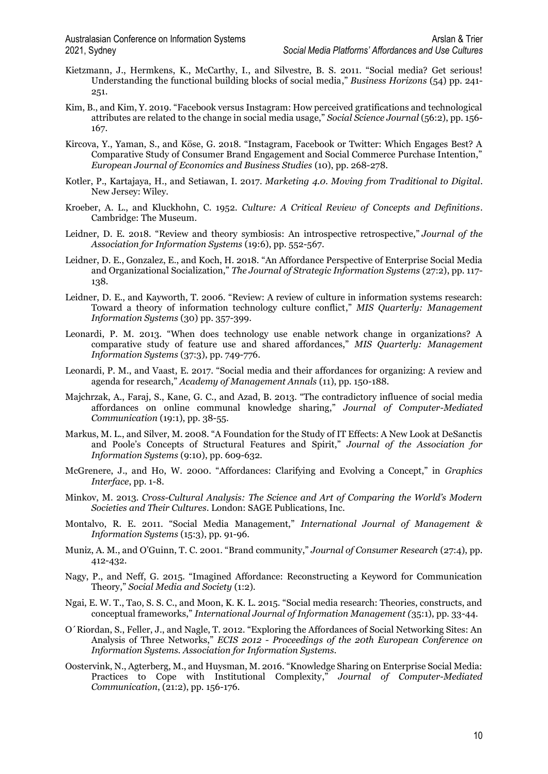- Kietzmann, J., Hermkens, K., McCarthy, I., and Silvestre, B. S. 2011. "Social media? Get serious! Understanding the functional building blocks of social media," *Business Horizons* (54) pp. 241- 251.
- Kim, B., and Kim, Y. 2019. "Facebook versus Instagram: How perceived gratifications and technological attributes are related to the change in social media usage," *Social Science Journal* (56:2), pp. 156- 167.
- Kircova, Y., Yaman, S., and Köse, G. 2018. "Instagram, Facebook or Twitter: Which Engages Best? A Comparative Study of Consumer Brand Engagement and Social Commerce Purchase Intention," *European Journal of Economics and Business Studies* (10), pp. 268-278.
- Kotler, P., Kartajaya, H., and Setiawan, I. 2017. *Marketing 4.0. Moving from Traditional to Digital.* New Jersey: Wiley.
- Kroeber, A. L., and Kluckhohn, C. 1952. *Culture: A Critical Review of Concepts and Definitions*. Cambridge: The Museum.
- Leidner, D. E. 2018. "Review and theory symbiosis: An introspective retrospective," *Journal of the Association for Information Systems* (19:6), pp. 552-567.
- Leidner, D. E., Gonzalez, E., and Koch, H. 2018. "An Affordance Perspective of Enterprise Social Media and Organizational Socialization," *The Journal of Strategic Information Systems* (27:2), pp. 117- 138.
- Leidner, D. E., and Kayworth, T. 2006. "Review: A review of culture in information systems research: Toward a theory of information technology culture conflict," *MIS Quarterly: Management Information Systems* (30) pp. 357-399.
- Leonardi, P. M. 2013. "When does technology use enable network change in organizations? A comparative study of feature use and shared affordances," *MIS Quarterly: Management Information Systems* (37:3), pp. 749-776.
- Leonardi, P. M., and Vaast, E. 2017. "Social media and their affordances for organizing: A review and agenda for research," *Academy of Management Annals* (11), pp. 150-188.
- Majchrzak, A., Faraj, S., Kane, G. C., and Azad, B. 2013. "The contradictory influence of social media affordances on online communal knowledge sharing," *Journal of Computer-Mediated Communication* (19:1), pp. 38-55.
- Markus, M. L., and Silver, M. 2008. "A Foundation for the Study of IT Effects: A New Look at DeSanctis and Poole's Concepts of Structural Features and Spirit," *Journal of the Association for Information Systems* (9:10), pp. 609-632.
- McGrenere, J., and Ho, W. 2000. "Affordances: Clarifying and Evolving a Concept," in *Graphics Interface*, pp. 1-8.
- Minkov, M. 2013*. Cross-Cultural Analysis: The Science and Art of Comparing the World's Modern Societies and Their Cultures.* London: SAGE Publications, Inc.
- Montalvo, R. E. 2011. "Social Media Management," *International Journal of Management & Information Systems* (15:3), pp. 91-96.
- Muniz, A. M., and O'Guinn, T. C. 2001. "Brand community," *Journal of Consumer Research* (27:4), pp. 412-432.
- Nagy, P., and Neff, G. 2015. "Imagined Affordance: Reconstructing a Keyword for Communication Theory," *Social Media and Society* (1:2).
- Ngai, E. W. T., Tao, S. S. C., and Moon, K. K. L. 2015. "Social media research: Theories, constructs, and conceptual frameworks," *International Journal of Information Management (*35:1), pp. 33-44.
- O´Riordan, S., Feller, J., and Nagle, T. 2012. "Exploring the Affordances of Social Networking Sites: An Analysis of Three Networks," *ECIS 2012 - Proceedings of the 20th European Conference on Information Systems. Association for Information Systems.*
- Oostervink, N., Agterberg, M., and Huysman, M. 2016. "Knowledge Sharing on Enterprise Social Media: Practices to Cope with Institutional Complexity," *Journal of Computer-Mediated Communication*, (21:2), pp. 156-176.